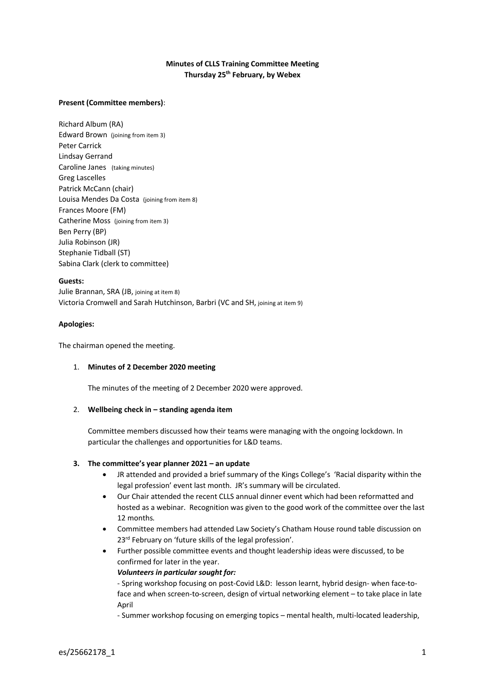# **Minutes of CLLS Training Committee Meeting Thursday 25th February, by Webex**

### **Present (Committee members)**:

Richard Album (RA) Edward Brown (joining from item 3) Peter Carrick Lindsay Gerrand Caroline Janes (taking minutes) Greg Lascelles Patrick McCann (chair) Louisa Mendes Da Costa (joining from item 8) Frances Moore (FM) Catherine Moss (joining from item 3) Ben Perry (BP) Julia Robinson (JR) Stephanie Tidball (ST) Sabina Clark (clerk to committee)

#### **Guests:**

Julie Brannan, SRA (JB, joining at item 8) Victoria Cromwell and Sarah Hutchinson, Barbri (VC and SH, joining at item 9)

## **Apologies:**

The chairman opened the meeting.

#### 1. **Minutes of 2 December 2020 meeting**

The minutes of the meeting of 2 December 2020 were approved.

## 2. **Wellbeing check in – standing agenda item**

Committee members discussed how their teams were managing with the ongoing lockdown. In particular the challenges and opportunities for L&D teams.

## **3. The committee's year planner 2021 – an update**

- JR attended and provided a brief summary of the Kings College's 'Racial disparity within the legal profession' event last month. JR's summary will be circulated.
- Our Chair attended the recent CLLS annual dinner event which had been reformatted and hosted as a webinar. Recognition was given to the good work of the committee over the last 12 months.
- Committee members had attended Law Society's Chatham House round table discussion on 23<sup>rd</sup> February on 'future skills of the legal profession'.
- Further possible committee events and thought leadership ideas were discussed, to be confirmed for later in the year.

#### *Volunteers in particular sought for:*

- Spring workshop focusing on post-Covid L&D: lesson learnt, hybrid design- when face-toface and when screen-to-screen, design of virtual networking element – to take place in late April

- Summer workshop focusing on emerging topics – mental health, multi-located leadership,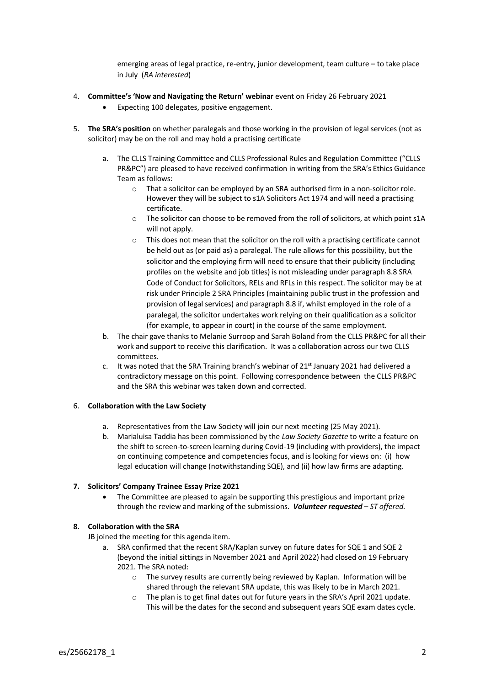emerging areas of legal practice, re-entry, junior development, team culture – to take place in July (*RA interested*)

- 4. **Committee's 'Now and Navigating the Return' webinar** event on Friday 26 February 2021
	- Expecting 100 delegates, positive engagement.
- 5. **The SRA's position** on whether paralegals and those working in the provision of legal services (not as solicitor) may be on the roll and may hold a practising certificate
	- a. The CLLS Training Committee and CLLS Professional Rules and Regulation Committee ("CLLS PR&PC") are pleased to have received confirmation in writing from the SRA's Ethics Guidance Team as follows:
		- $\circ$  That a solicitor can be employed by an SRA authorised firm in a non-solicitor role. However they will be subject to s1A Solicitors Act 1974 and will need a practising certificate.
		- o The solicitor can choose to be removed from the roll of solicitors, at which point s1A will not apply.
		- $\circ$  This does not mean that the solicitor on the roll with a practising certificate cannot be held out as (or paid as) a paralegal. The rule allows for this possibility, but the solicitor and the employing firm will need to ensure that their publicity (including profiles on the website and job titles) is not misleading under paragraph 8.8 SRA Code of Conduct for Solicitors, RELs and RFLs in this respect. The solicitor may be at risk under Principle 2 SRA Principles (maintaining public trust in the profession and provision of legal services) and paragraph 8.8 if, whilst employed in the role of a paralegal, the solicitor undertakes work relying on their qualification as a solicitor (for example, to appear in court) in the course of the same employment.
	- b. The chair gave thanks to Melanie Surroop and Sarah Boland from the CLLS PR&PC for all their work and support to receive this clarification. It was a collaboration across our two CLLS committees.
	- c. It was noted that the SRA Training branch's webinar of  $21^{st}$  January 2021 had delivered a contradictory message on this point. Following correspondence between the CLLS PR&PC and the SRA this webinar was taken down and corrected.

## 6. **Collaboration with the Law Society**

- a. Representatives from the Law Society will join our next meeting (25 May 2021).
- b. Marialuisa Taddia has been commissioned by the *Law Society Gazette* to write a feature on the shift to screen-to-screen learning during Covid-19 (including with providers), the impact on continuing competence and competencies focus, and is looking for views on: (i) how legal education will change (notwithstanding SQE), and (ii) how law firms are adapting.

## **7. Solicitors' Company Trainee Essay Prize 2021**

 The Committee are pleased to again be supporting this prestigious and important prize through the review and marking of the submissions. *Volunteer requested* – *ST offered.*

#### **8. Collaboration with the SRA**

JB joined the meeting for this agenda item.

- a. SRA confirmed that the recent SRA/Kaplan survey on future dates for SQE 1 and SQE 2 (beyond the initial sittings in November 2021 and April 2022) had closed on 19 February 2021. The SRA noted:
	- o The survey results are currently being reviewed by Kaplan. Information will be shared through the relevant SRA update, this was likely to be in March 2021.
	- $\circ$  The plan is to get final dates out for future years in the SRA's April 2021 update. This will be the dates for the second and subsequent years SQE exam dates cycle.